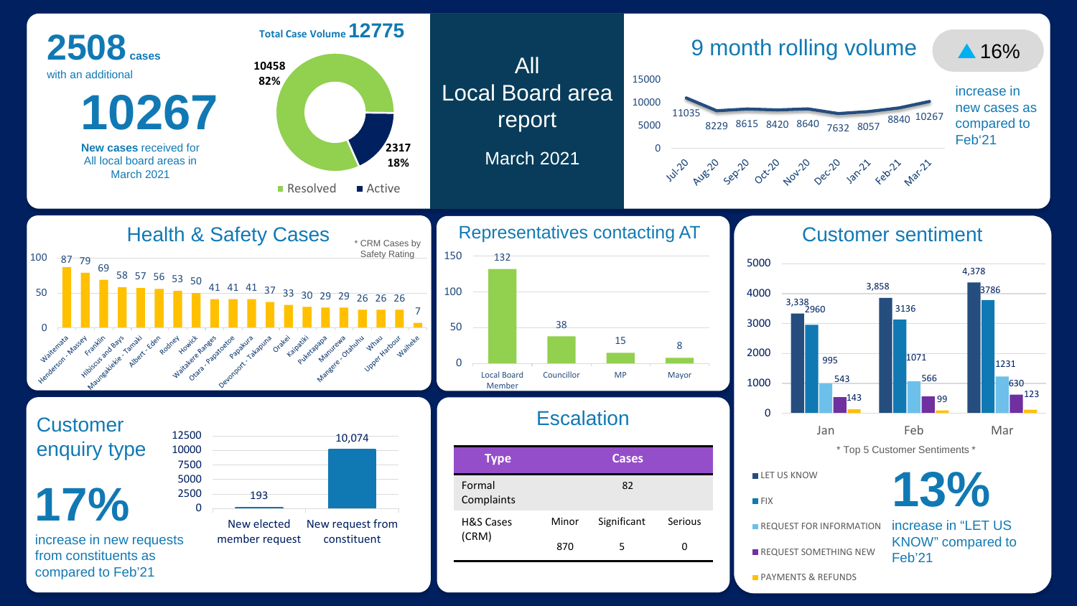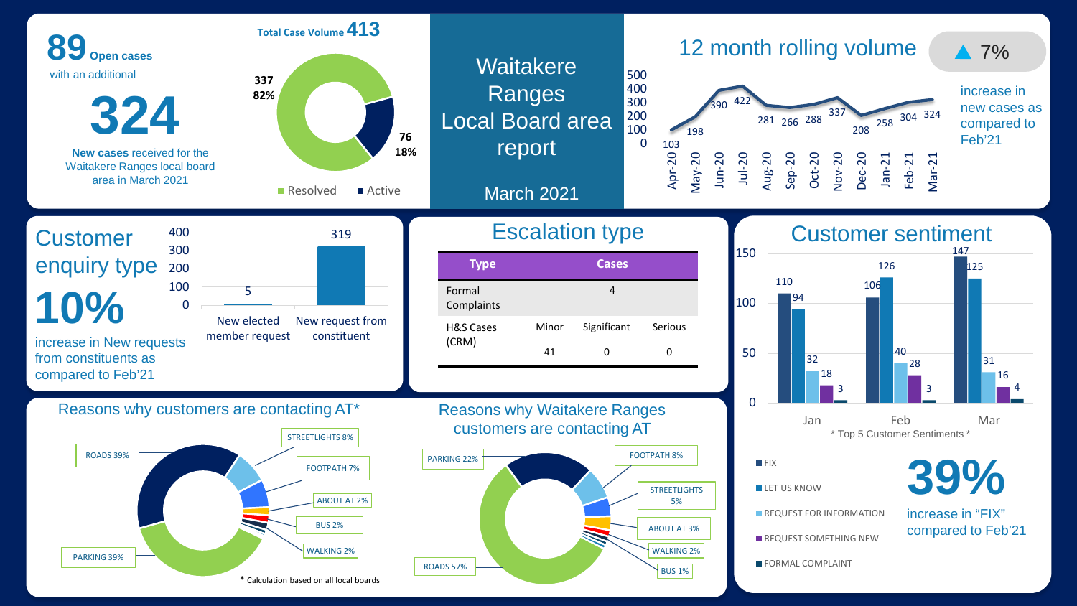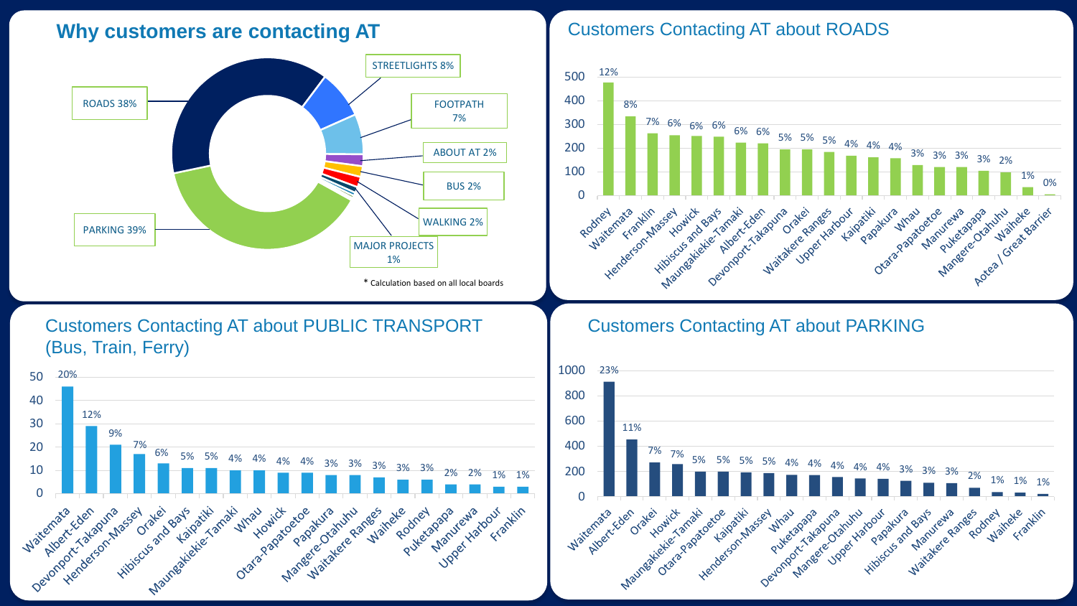## **Why customers are contacting AT Customers Contacting AT about ROADS**



## Customers Contacting AT about PUBLIC TRANSPORT (Bus, Train, Ferry)





## Customers Contacting AT about PARKING